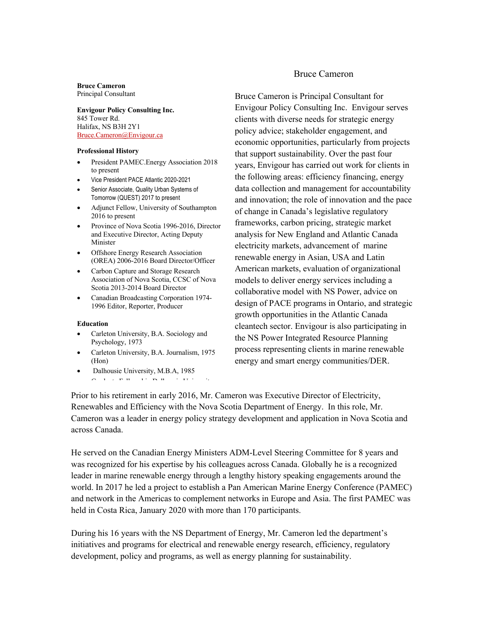#### **Bruce Cameron** Principal Consultant

**Envigour Policy Consulting Inc.** 845 Tower Rd. Halifax, NS B3H 2Y1 Bruce.Cameron@Envigour.ca

#### **Professional History**

- President PAMEC.Energy Association 2018 to present
- Vice President PACE Atlantic 2020-2021
- Senior Associate, Quality Urban Systems of Tomorrow (QUEST) 2017 to present
- Adjunct Fellow, University of Southampton 2016 to present
- Province of Nova Scotia 1996-2016, Director and Executive Director, Acting Deputy Minister
- Offshore Energy Research Association (OREA) 2006-2016 Board Director/Officer
- Carbon Capture and Storage Research Association of Nova Scotia, CCSC of Nova Scotia 2013-2014 Board Director
- Canadian Broadcasting Corporation 1974- 1996 Editor, Reporter, Producer

#### **Education**

- Carleton University, B.A. Sociology and Psychology, 1973
- Carleton University, B.A. Journalism, 1975 (Hon)
- Dalhousie University, M.B.A, 1985
- $\sigma$  Learn Dallowship Dalhousie University Dalhousing Dalhousing Dalhousing Dalhousing Dalhousing Dalhousing Dalhousing Dalhousing Dalhousing Dalhousing Dalhousing Dalhousing Dalhousing Dalhousing Dalhousing Dalhousing

# Bruce Cameron

Bruce Cameron is Principal Consultant for Envigour Policy Consulting Inc. Envigour serves clients with diverse needs for strategic energy policy advice; stakeholder engagement, and economic opportunities, particularly from projects that support sustainability. Over the past four years, Envigour has carried out work for clients in the following areas: efficiency financing, energy data collection and management for accountability and innovation; the role of innovation and the pace of change in Canada's legislative regulatory frameworks, carbon pricing, strategic market analysis for New England and Atlantic Canada electricity markets, advancement of marine renewable energy in Asian, USA and Latin American markets, evaluation of organizational models to deliver energy services including a collaborative model with NS Power, advice on design of PACE programs in Ontario, and strategic growth opportunities in the Atlantic Canada cleantech sector. Envigour is also participating in the NS Power Integrated Resource Planning process representing clients in marine renewable energy and smart energy communities/DER.

Prior to his retirement in early 2016, Mr. Cameron was Executive Director of Electricity, Renewables and Efficiency with the Nova Scotia Department of Energy. In this role, Mr. Cameron was a leader in energy policy strategy development and application in Nova Scotia and across Canada.

He served on the Canadian Energy Ministers ADM-Level Steering Committee for 8 years and was recognized for his expertise by his colleagues across Canada. Globally he is a recognized leader in marine renewable energy through a lengthy history speaking engagements around the world. In 2017 he led a project to establish a Pan American Marine Energy Conference (PAMEC) and network in the Americas to complement networks in Europe and Asia. The first PAMEC was held in Costa Rica, January 2020 with more than 170 participants.

During his 16 years with the NS Department of Energy, Mr. Cameron led the department's initiatives and programs for electrical and renewable energy research, efficiency, regulatory development, policy and programs, as well as energy planning for sustainability.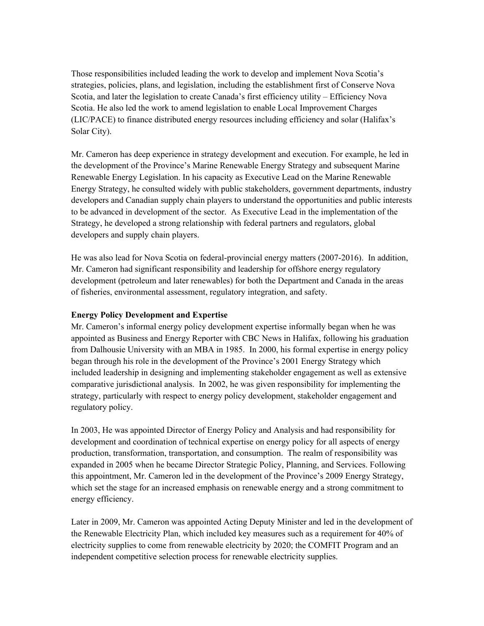Those responsibilities included leading the work to develop and implement Nova Scotia's strategies, policies, plans, and legislation, including the establishment first of Conserve Nova Scotia, and later the legislation to create Canada's first efficiency utility – Efficiency Nova Scotia. He also led the work to amend legislation to enable Local Improvement Charges (LIC/PACE) to finance distributed energy resources including efficiency and solar (Halifax's Solar City).

Mr. Cameron has deep experience in strategy development and execution. For example, he led in the development of the Province's Marine Renewable Energy Strategy and subsequent Marine Renewable Energy Legislation. In his capacity as Executive Lead on the Marine Renewable Energy Strategy, he consulted widely with public stakeholders, government departments, industry developers and Canadian supply chain players to understand the opportunities and public interests to be advanced in development of the sector. As Executive Lead in the implementation of the Strategy, he developed a strong relationship with federal partners and regulators, global developers and supply chain players.

He was also lead for Nova Scotia on federal-provincial energy matters (2007-2016). In addition, Mr. Cameron had significant responsibility and leadership for offshore energy regulatory development (petroleum and later renewables) for both the Department and Canada in the areas of fisheries, environmental assessment, regulatory integration, and safety.

## **Energy Policy Development and Expertise**

Mr. Cameron's informal energy policy development expertise informally began when he was appointed as Business and Energy Reporter with CBC News in Halifax, following his graduation from Dalhousie University with an MBA in 1985. In 2000, his formal expertise in energy policy began through his role in the development of the Province's 2001 Energy Strategy which included leadership in designing and implementing stakeholder engagement as well as extensive comparative jurisdictional analysis. In 2002, he was given responsibility for implementing the strategy, particularly with respect to energy policy development, stakeholder engagement and regulatory policy.

In 2003, He was appointed Director of Energy Policy and Analysis and had responsibility for development and coordination of technical expertise on energy policy for all aspects of energy production, transformation, transportation, and consumption. The realm of responsibility was expanded in 2005 when he became Director Strategic Policy, Planning, and Services. Following this appointment, Mr. Cameron led in the development of the Province's 2009 Energy Strategy, which set the stage for an increased emphasis on renewable energy and a strong commitment to energy efficiency.

Later in 2009, Mr. Cameron was appointed Acting Deputy Minister and led in the development of the Renewable Electricity Plan, which included key measures such as a requirement for 40% of electricity supplies to come from renewable electricity by 2020; the COMFIT Program and an independent competitive selection process for renewable electricity supplies.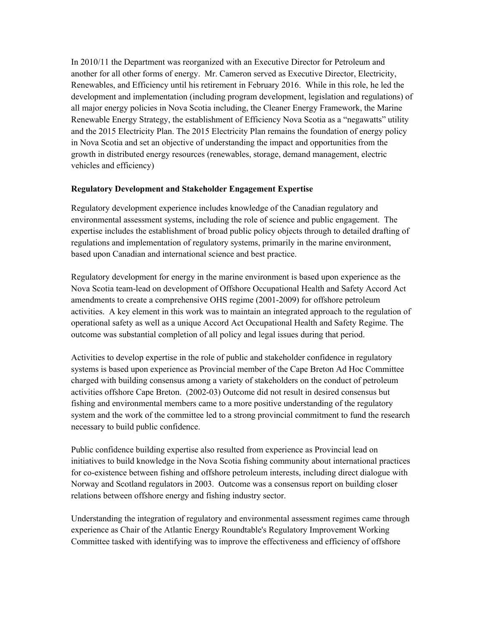In 2010/11 the Department was reorganized with an Executive Director for Petroleum and another for all other forms of energy. Mr. Cameron served as Executive Director, Electricity, Renewables, and Efficiency until his retirement in February 2016. While in this role, he led the development and implementation (including program development, legislation and regulations) of all major energy policies in Nova Scotia including, the Cleaner Energy Framework, the Marine Renewable Energy Strategy, the establishment of Efficiency Nova Scotia as a "negawatts" utility and the 2015 Electricity Plan. The 2015 Electricity Plan remains the foundation of energy policy in Nova Scotia and set an objective of understanding the impact and opportunities from the growth in distributed energy resources (renewables, storage, demand management, electric vehicles and efficiency)

## **Regulatory Development and Stakeholder Engagement Expertise**

Regulatory development experience includes knowledge of the Canadian regulatory and environmental assessment systems, including the role of science and public engagement. The expertise includes the establishment of broad public policy objects through to detailed drafting of regulations and implementation of regulatory systems, primarily in the marine environment, based upon Canadian and international science and best practice.

Regulatory development for energy in the marine environment is based upon experience as the Nova Scotia team-lead on development of Offshore Occupational Health and Safety Accord Act amendments to create a comprehensive OHS regime (2001-2009) for offshore petroleum activities. A key element in this work was to maintain an integrated approach to the regulation of operational safety as well as a unique Accord Act Occupational Health and Safety Regime. The outcome was substantial completion of all policy and legal issues during that period.

Activities to develop expertise in the role of public and stakeholder confidence in regulatory systems is based upon experience as Provincial member of the Cape Breton Ad Hoc Committee charged with building consensus among a variety of stakeholders on the conduct of petroleum activities offshore Cape Breton. (2002-03) Outcome did not result in desired consensus but fishing and environmental members came to a more positive understanding of the regulatory system and the work of the committee led to a strong provincial commitment to fund the research necessary to build public confidence.

Public confidence building expertise also resulted from experience as Provincial lead on initiatives to build knowledge in the Nova Scotia fishing community about international practices for co-existence between fishing and offshore petroleum interests, including direct dialogue with Norway and Scotland regulators in 2003. Outcome was a consensus report on building closer relations between offshore energy and fishing industry sector.

Understanding the integration of regulatory and environmental assessment regimes came through experience as Chair of the Atlantic Energy Roundtable's Regulatory Improvement Working Committee tasked with identifying was to improve the effectiveness and efficiency of offshore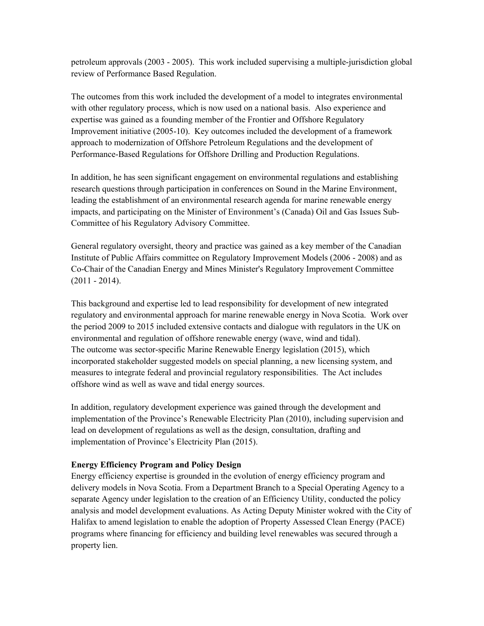petroleum approvals (2003 - 2005). This work included supervising a multiple-jurisdiction global review of Performance Based Regulation.

The outcomes from this work included the development of a model to integrates environmental with other regulatory process, which is now used on a national basis. Also experience and expertise was gained as a founding member of the Frontier and Offshore Regulatory Improvement initiative (2005-10). Key outcomes included the development of a framework approach to modernization of Offshore Petroleum Regulations and the development of Performance-Based Regulations for Offshore Drilling and Production Regulations.

In addition, he has seen significant engagement on environmental regulations and establishing research questions through participation in conferences on Sound in the Marine Environment, leading the establishment of an environmental research agenda for marine renewable energy impacts, and participating on the Minister of Environment's (Canada) Oil and Gas Issues Sub-Committee of his Regulatory Advisory Committee.

General regulatory oversight, theory and practice was gained as a key member of the Canadian Institute of Public Affairs committee on Regulatory Improvement Models (2006 - 2008) and as Co-Chair of the Canadian Energy and Mines Minister's Regulatory Improvement Committee (2011 - 2014).

This background and expertise led to lead responsibility for development of new integrated regulatory and environmental approach for marine renewable energy in Nova Scotia. Work over the period 2009 to 2015 included extensive contacts and dialogue with regulators in the UK on environmental and regulation of offshore renewable energy (wave, wind and tidal). The outcome was sector-specific Marine Renewable Energy legislation (2015), which incorporated stakeholder suggested models on special planning, a new licensing system, and measures to integrate federal and provincial regulatory responsibilities. The Act includes offshore wind as well as wave and tidal energy sources.

In addition, regulatory development experience was gained through the development and implementation of the Province's Renewable Electricity Plan (2010), including supervision and lead on development of regulations as well as the design, consultation, drafting and implementation of Province's Electricity Plan (2015).

## **Energy Efficiency Program and Policy Design**

Energy efficiency expertise is grounded in the evolution of energy efficiency program and delivery models in Nova Scotia. From a Department Branch to a Special Operating Agency to a separate Agency under legislation to the creation of an Efficiency Utility, conducted the policy analysis and model development evaluations. As Acting Deputy Minister wokred with the City of Halifax to amend legislation to enable the adoption of Property Assessed Clean Energy (PACE) programs where financing for efficiency and building level renewables was secured through a property lien.